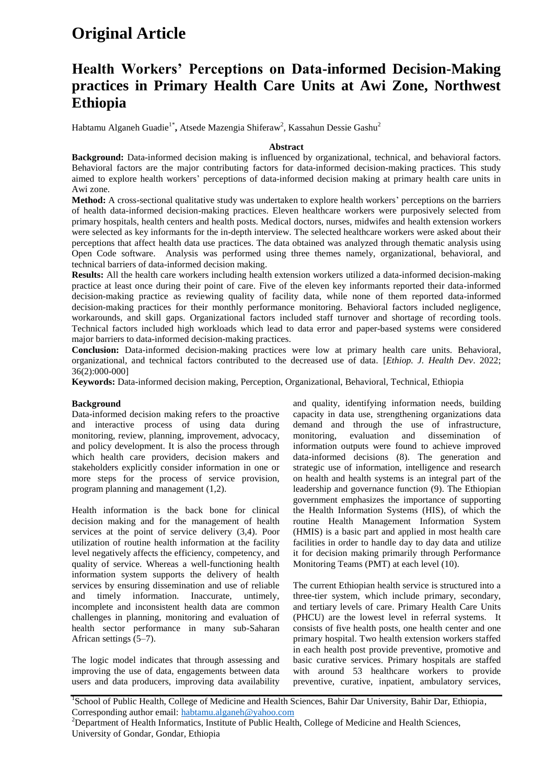# **Original Article**

## **Health Workers' Perceptions on Data-informed Decision-Making practices in Primary Health Care Units at Awi Zone, Northwest Ethiopia**

Habtamu Alganeh Guadie<sup>1\*</sup>, Atsede Mazengia Shiferaw<sup>2</sup>, Kassahun Dessie Gashu<sup>2</sup>

## **Abstract**

**Background:** Data-informed decision making is influenced by organizational, technical, and behavioral factors. Behavioral factors are the major contributing factors for data-informed decision-making practices. This study aimed to explore health workers' perceptions of data-informed decision making at primary health care units in Awi zone.

**Method:** A cross-sectional qualitative study was undertaken to explore health workers' perceptions on the barriers of health data-informed decision-making practices. Eleven healthcare workers were purposively selected from primary hospitals, health centers and health posts. Medical doctors, nurses, midwifes and health extension workers were selected as key informants for the in-depth interview. The selected healthcare workers were asked about their perceptions that affect health data use practices. The data obtained was analyzed through thematic analysis using Open Code software. Analysis was performed using three themes namely, organizational, behavioral, and technical barriers of data-informed decision making.

**Results:** All the health care workers including health extension workers utilized a data-informed decision-making practice at least once during their point of care. Five of the eleven key informants reported their data-informed decision-making practice as reviewing quality of facility data, while none of them reported data-informed decision-making practices for their monthly performance monitoring. Behavioral factors included negligence, workarounds, and skill gaps. Organizational factors included staff turnover and shortage of recording tools. Technical factors included high workloads which lead to data error and paper-based systems were considered major barriers to data-informed decision-making practices.

**Conclusion:** Data-informed decision-making practices were low at primary health care units. Behavioral, organizational, and technical factors contributed to the decreased use of data. [*Ethiop. J. Health Dev*. 2022; 36(2):000-000]

**Keywords:** Data-informed decision making, Perception, Organizational, Behavioral, Technical, Ethiopia

#### **Background**

Data-informed decision making refers to the proactive and interactive process of using data during monitoring, review, planning, improvement, advocacy, and policy development. It is also the process through which health care providers, decision makers and stakeholders explicitly consider information in one or more steps for the process of service provision, program planning and management (1,2).

Health information is the back bone for clinical decision making and for the management of health services at the point of service delivery (3,4). Poor utilization of routine health information at the facility level negatively affects the efficiency, competency, and quality of service. Whereas a well-functioning health information system supports the delivery of health services by ensuring dissemination and use of reliable and timely information. Inaccurate, untimely, incomplete and inconsistent health data are common challenges in planning, monitoring and evaluation of health sector performance in many sub-Saharan African settings (5–7).

The logic model indicates that through assessing and improving the use of data, engagements between data users and data producers, improving data availability and quality, identifying information needs, building capacity in data use, strengthening organizations data demand and through the use of infrastructure, monitoring, evaluation and dissemination of information outputs were found to achieve improved data-informed decisions (8). The generation and strategic use of information, intelligence and research on health and health systems is an integral part of the leadership and governance function (9). The Ethiopian government emphasizes the importance of supporting the Health Information Systems (HIS), of which the routine Health Management Information System (HMIS) is a basic part and applied in most health care facilities in order to handle day to day data and utilize it for decision making primarily through Performance Monitoring Teams (PMT) at each level (10).

The current Ethiopian health service is structured into a three-tier system, which include primary, secondary, and tertiary levels of care. Primary Health Care Units (PHCU) are the lowest level in referral systems. It consists of five health posts, one health center and one primary hospital. Two health extension workers staffed in each health post provide preventive, promotive and basic curative services. Primary hospitals are staffed with around 53 healthcare workers to provide preventive, curative, inpatient, ambulatory services,

<sup>1</sup>School of Public Health, College of Medicine and Health Sciences, Bahir Dar University, Bahir Dar, Ethiopia, Corresponding author email: habtamu.alganeh@yahoo.com

<sup>2</sup>Department of Health Informatics, Institute of Public Health, College of Medicine and Health Sciences, University of Gondar, Gondar, Ethiopia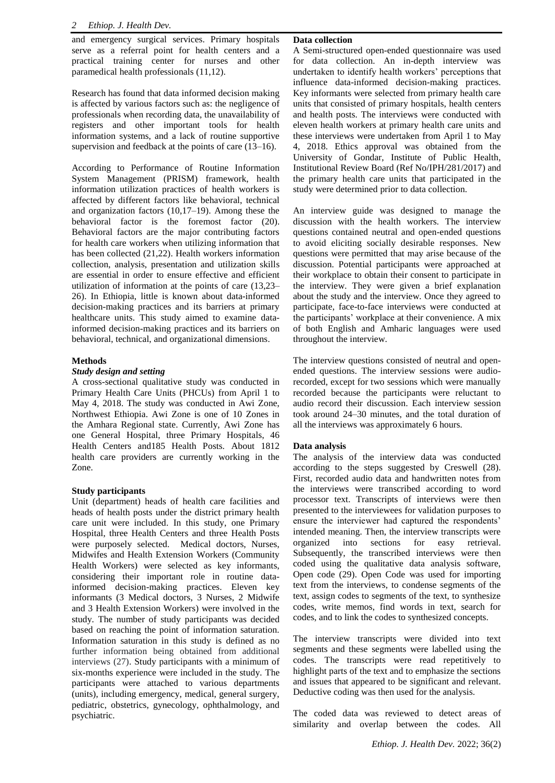and emergency surgical services. Primary hospitals serve as a referral point for health centers and a practical training center for nurses and other paramedical health professionals (11,12).

Research has found that data informed decision making is affected by various factors such as: the negligence of professionals when recording data, the unavailability of registers and other important tools for health information systems, and a lack of routine supportive supervision and feedback at the points of care (13–16).

According to Performance of Routine Information System Management (PRISM) framework, health information utilization practices of health workers is affected by different factors like behavioral, technical and organization factors (10,17–19). Among these the behavioral factor is the foremost factor (20). Behavioral factors are the major contributing factors for health care workers when utilizing information that has been collected (21,22). Health workers information collection, analysis, presentation and utilization skills are essential in order to ensure effective and efficient utilization of information at the points of care (13,23– 26). In Ethiopia, little is known about data-informed decision-making practices and its barriers at primary healthcare units. This study aimed to examine datainformed decision-making practices and its barriers on behavioral, technical, and organizational dimensions.

## **Methods**

## *Study design and setting*

A cross-sectional qualitative study was conducted in Primary Health Care Units (PHCUs) from April 1 to May 4, 2018. The study was conducted in Awi Zone, Northwest Ethiopia. Awi Zone is one of 10 Zones in the Amhara Regional state. Currently, Awi Zone has one General Hospital, three Primary Hospitals, 46 Health Centers and185 Health Posts. About 1812 health care providers are currently working in the Zone.

## **Study participants**

Unit (department) heads of health care facilities and heads of health posts under the district primary health care unit were included. In this study, one Primary Hospital, three Health Centers and three Health Posts were purposely selected. Medical doctors, Nurses, Midwifes and Health Extension Workers (Community Health Workers) were selected as key informants, considering their important role in routine datainformed decision-making practices. Eleven key informants (3 Medical doctors, 3 Nurses, 2 Midwife and 3 Health Extension Workers) were involved in the study. The number of study participants was decided based on reaching the point of information saturation. Information saturation in this study is defined as no further information being obtained from additional interviews (27). Study participants with a minimum of six-months experience were included in the study. The participants were attached to various departments (units), including emergency, medical, general surgery, pediatric, obstetrics, gynecology, ophthalmology, and psychiatric.

## **Data collection**

A Semi-structured open-ended questionnaire was used for data collection. An in-depth interview was undertaken to identify health workers' perceptions that influence data-informed decision-making practices. Key informants were selected from primary health care units that consisted of primary hospitals, health centers and health posts. The interviews were conducted with eleven health workers at primary health care units and these interviews were undertaken from April 1 to May 4, 2018. Ethics approval was obtained from the University of Gondar, Institute of Public Health, Institutional Review Board (Ref No/IPH/281/2017) and the primary health care units that participated in the study were determined prior to data collection.

An interview guide was designed to manage the discussion with the health workers. The interview questions contained neutral and open-ended questions to avoid eliciting socially desirable responses. New questions were permitted that may arise because of the discussion. Potential participants were approached at their workplace to obtain their consent to participate in the interview. They were given a brief explanation about the study and the interview. Once they agreed to participate, face-to-face interviews were conducted at the participants' workplace at their convenience. A mix of both English and Amharic languages were used throughout the interview.

The interview questions consisted of neutral and openended questions. The interview sessions were audiorecorded, except for two sessions which were manually recorded because the participants were reluctant to audio record their discussion. Each interview session took around 24–30 minutes, and the total duration of all the interviews was approximately 6 hours.

#### **Data analysis**

The analysis of the interview data was conducted according to the steps suggested by Creswell (28). First, recorded audio data and handwritten notes from the interviews were transcribed according to word processor text. Transcripts of interviews were then presented to the interviewees for validation purposes to ensure the interviewer had captured the respondents' intended meaning. Then, the interview transcripts were organized into sections for easy retrieval. Subsequently, the transcribed interviews were then coded using the qualitative data analysis software, Open code (29). Open Code was used for importing text from the interviews, to condense segments of the text, assign codes to segments of the text, to synthesize codes, write memos, find words in text, search for codes, and to link the codes to synthesized concepts.

The interview transcripts were divided into text segments and these segments were labelled using the codes. The transcripts were read repetitively to highlight parts of the text and to emphasize the sections and issues that appeared to be significant and relevant. Deductive coding was then used for the analysis.

The coded data was reviewed to detect areas of similarity and overlap between the codes. All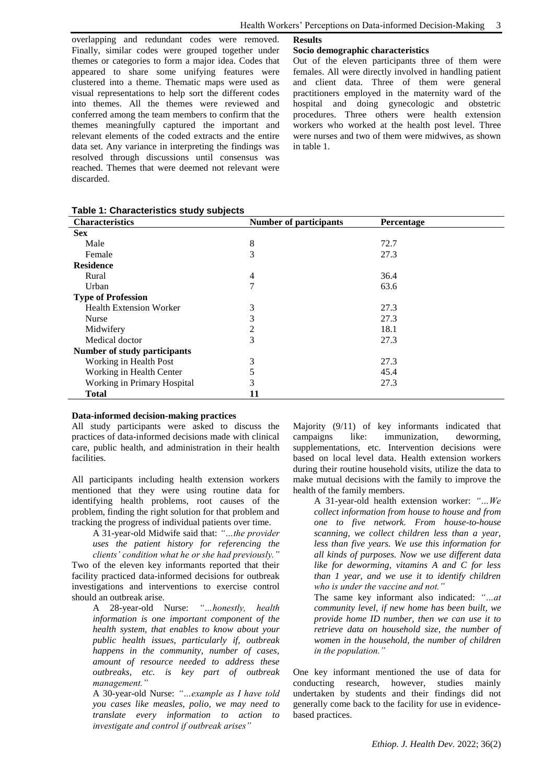overlapping and redundant codes were removed. Finally, similar codes were grouped together under themes or categories to form a major idea. Codes that appeared to share some unifying features were clustered into a theme. Thematic maps were used as visual representations to help sort the different codes into themes. All the themes were reviewed and conferred among the team members to confirm that the themes meaningfully captured the important and relevant elements of the coded extracts and the entire data set. Any variance in interpreting the findings was resolved through discussions until consensus was reached. Themes that were deemed not relevant were discarded.

#### **Results**

#### **Socio demographic characteristics**

Out of the eleven participants three of them were females. All were directly involved in handling patient and client data. Three of them were general practitioners employed in the maternity ward of the hospital and doing gynecologic and obstetric procedures. Three others were health extension workers who worked at the health post level. Three were nurses and two of them were midwives, as shown in table 1.

| Table 1: Characteristics study subjects |  |
|-----------------------------------------|--|
|-----------------------------------------|--|

| <b>Characteristics</b>         | <b>Number of participants</b> | Percentage |  |
|--------------------------------|-------------------------------|------------|--|
| <b>Sex</b>                     |                               |            |  |
| Male                           | 8                             | 72.7       |  |
| Female                         | 3                             | 27.3       |  |
| <b>Residence</b>               |                               |            |  |
| Rural                          | 4                             | 36.4       |  |
| Urban                          | 7                             | 63.6       |  |
| <b>Type of Profession</b>      |                               |            |  |
| <b>Health Extension Worker</b> | 3                             | 27.3       |  |
| Nurse                          | 3                             | 27.3       |  |
| Midwifery                      | 2                             | 18.1       |  |
| Medical doctor                 | 3                             | 27.3       |  |
| Number of study participants   |                               |            |  |
| Working in Health Post         | 3                             | 27.3       |  |
| Working in Health Center       |                               | 45.4       |  |
| Working in Primary Hospital    | 3                             | 27.3       |  |
| <b>Total</b>                   | 11                            |            |  |

#### **Data-informed decision-making practices**

All study participants were asked to discuss the practices of data-informed decisions made with clinical care, public health, and administration in their health facilities.

All participants including health extension workers mentioned that they were using routine data for identifying health problems, root causes of the problem, finding the right solution for that problem and tracking the progress of individual patients over time.

A 31-year-old Midwife said that: *"…the provider uses the patient history for referencing the clients' condition what he or she had previously."*

Two of the eleven key informants reported that their facility practiced data-informed decisions for outbreak investigations and interventions to exercise control should an outbreak arise.

A 28-year-old Nurse: *"…honestly, health information is one important component of the health system, that enables to know about your public health issues, particularly if, outbreak happens in the community, number of cases, amount of resource needed to address these outbreaks, etc. is key part of outbreak management."*

A 30-year-old Nurse: *"…example as I have told you cases like measles, polio, we may need to translate every information to action to investigate and control if outbreak arises"*

Majority (9/11) of key informants indicated that campaigns like: immunization, deworming, supplementations, etc. Intervention decisions were based on local level data. Health extension workers during their routine household visits, utilize the data to make mutual decisions with the family to improve the health of the family members.

> A 31-year-old health extension worker: *"…We collect information from house to house and from one to five network. From house-to-house scanning, we collect children less than a year, less than five years. We use this information for all kinds of purposes. Now we use different data like for deworming, vitamins A and C for less than 1 year, and we use it to identify children who is under the vaccine and not."*

> The same key informant also indicated: *"…at community level, if new home has been built, we provide home ID number, then we can use it to retrieve data on household size, the number of women in the household, the number of children in the population."*

One key informant mentioned the use of data for conducting research, however, studies mainly undertaken by students and their findings did not generally come back to the facility for use in evidencebased practices.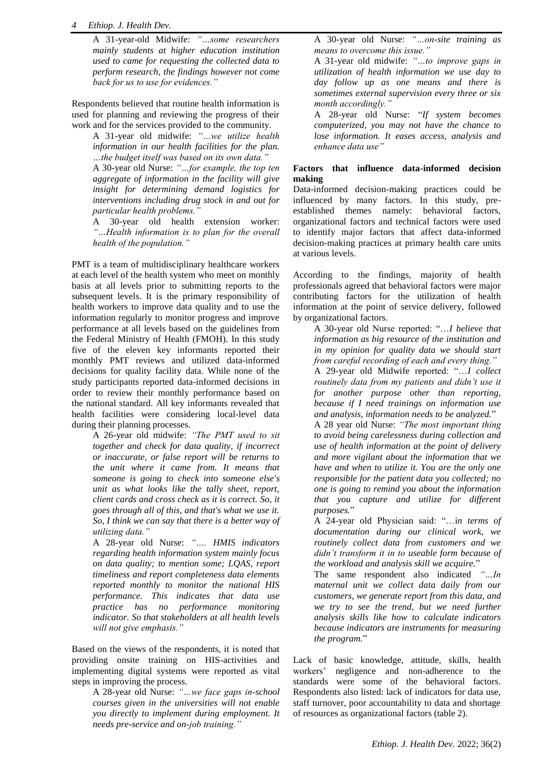### *4 Ethiop. J. Health Dev.*

A 31-year-old Midwife: *"…some researchers mainly students at higher education institution used to came for requesting the collected data to perform research, the findings however not come back for us to use for evidences."*

Respondents believed that routine health information is used for planning and reviewing the progress of their work and for the services provided to the community.

A 31-year old midwife: *"…we utilize health information in our health facilities for the plan. …the budget itself was based on its own data."*

A 30-year old Nurse: *"…for example, the top ten aggregate of information in the facility will give insight for determining demand logistics for interventions including drug stock in and out for particular health problems."*

A 30-year old health extension worker: *"…Health information is to plan for the overall health of the population."*

PMT is a team of multidisciplinary healthcare workers at each level of the health system who meet on monthly basis at all levels prior to submitting reports to the subsequent levels. It is the primary responsibility of health workers to improve data quality and to use the information regularly to monitor progress and improve performance at all levels based on the guidelines from the Federal Ministry of Health (FMOH). In this study five of the eleven key informants reported their monthly PMT reviews and utilized data-informed decisions for quality facility data. While none of the study participants reported data-informed decisions in order to review their monthly performance based on the national standard. All key informants revealed that health facilities were considering local-level data during their planning processes.

A 26-year old midwife: *"The PMT used to sit together and check for data quality, if incorrect or inaccurate, or false report will be returns to the unit where it came from. It means that someone is going to check into someone else's unit as what looks like the tally sheet, report, client cards and cross check as it is correct. So, it goes through all of this, and that's what we use it. So, I think we can say that there is a better way of utilizing data."*

A 28-year old Nurse: *"…. HMIS indicators regarding health information system mainly focus on data quality; to mention some; LQAS, report timeliness and report completeness data elements reported monthly to monitor the national HIS performance. This indicates that data use practice has no performance monitoring indicator. So that stakeholders at all health levels will not give emphasis."*

Based on the views of the respondents, it is noted that providing onsite training on HIS-activities and implementing digital systems were reported as vital steps in improving the process.

A 28-year old Nurse: *"…we face gaps in-school courses given in the universities will not enable you directly to implement during employment. It needs pre-service and on-job training."*

A 30-year old Nurse: *"…on-site training as means to overcome this issue."*

A 31-year old midwife: *"…to improve gaps in utilization of health information we use day to day follow up as one means and there is sometimes external supervision every three or six month accordingly."*

A 28-year old Nurse: "*If system becomes computerized, you may not have the chance to lose information. It eases access, analysis and enhance data use"*

## **Factors that influence data-informed decision making**

Data-informed decision-making practices could be influenced by many factors. In this study, preestablished themes namely: behavioral factors, organizational factors and technical factors were used to identify major factors that affect data-informed decision-making practices at primary health care units at various levels.

According to the findings, majority of health professionals agreed that behavioral factors were major contributing factors for the utilization of health information at the point of service delivery, followed by organizational factors.

A 30-year old Nurse reported: "…*I believe that information as big resource of the institution and in my opinion for quality data we should start from careful recording of each and every thing."* A 29-year old Midwife reported: "…*I collect routinely data from my patients and didn't use it for another purpose other than reporting, because if I need trainings on information use and analysis, information needs to be analyzed.*"

A 28 year old Nurse: *"The most important thing to avoid being carelessness during collection and use of health information at the point of delivery and more vigilant about the information that we have and when to utilize it. You are the only one responsible for the patient data you collected; no one is going to remind you about the information that you capture and utilize for different purposes.*"

A 24-year old Physician said: "…i*n terms of documentation during our clinical work, we routinely collect data from customers and we didn't transform it in to useable form because of the workload and analysis skill we acquire.*"

The same respondent also indicated *"…In maternal unit we collect data daily from our customers, we generate report from this data, and we try to see the trend, but we need further analysis skills like how to calculate indicators because indicators are instruments for measuring the program.*"

Lack of basic knowledge, attitude, skills, health workers' negligence and non-adherence to the standards were some of the behavioral factors. Respondents also listed: lack of indicators for data use, staff turnover, poor accountability to data and shortage of resources as organizational factors (table 2).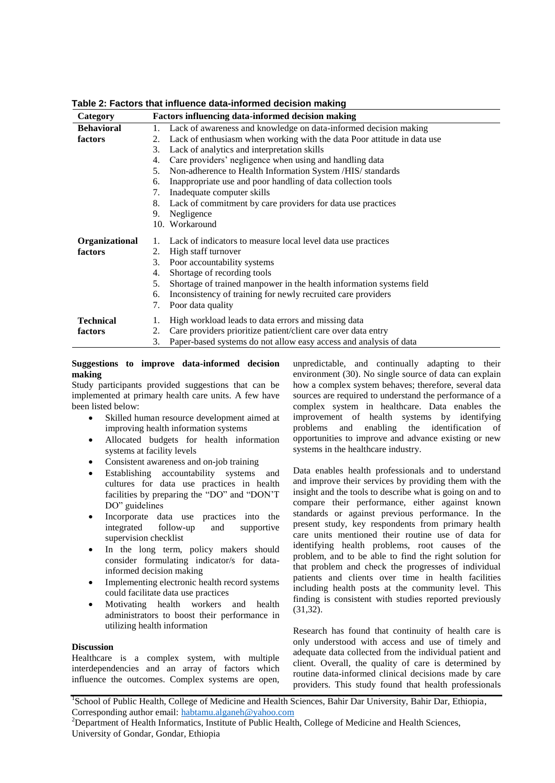| Category          | <b>Factors influencing data-informed decision making</b>                      |  |
|-------------------|-------------------------------------------------------------------------------|--|
| <b>Behavioral</b> | 1. Lack of awareness and knowledge on data-informed decision making           |  |
| factors           | Lack of enthusiasm when working with the data Poor attitude in data use<br>2. |  |
|                   | Lack of analytics and interpretation skills<br>3.                             |  |
|                   | Care providers' negligence when using and handling data<br>4.                 |  |
|                   | Non-adherence to Health Information System /HIS/ standards<br>5.              |  |
|                   | Inappropriate use and poor handling of data collection tools<br>6.            |  |
|                   | Inadequate computer skills<br>7.                                              |  |
|                   | Lack of commitment by care providers for data use practices<br>8.             |  |
|                   | 9.<br>Negligence                                                              |  |
|                   | 10. Workaround                                                                |  |
| Organizational    | Lack of indicators to measure local level data use practices                  |  |
| factors           | High staff turnover<br>2.                                                     |  |
|                   | Poor accountability systems<br>3.                                             |  |
|                   | Shortage of recording tools<br>4.                                             |  |
|                   | 5.<br>Shortage of trained manpower in the health information systems field    |  |
|                   | Inconsistency of training for newly recruited care providers<br>6.            |  |
|                   | Poor data quality<br>7.                                                       |  |
| <b>Technical</b>  | High workload leads to data errors and missing data<br>1.                     |  |
| factors           | Care providers prioritize patient/client care over data entry<br>2.           |  |
|                   | Paper-based systems do not allow easy access and analysis of data<br>3.       |  |

**Table 2: Factors that influence data-informed decision making** 

**Suggestions to improve data-informed decision making**

Study participants provided suggestions that can be implemented at primary health care units. A few have been listed below:

- Skilled human resource development aimed at improving health information systems
- Allocated budgets for health information systems at facility levels
- Consistent awareness and on-job training
- Establishing accountability systems and cultures for data use practices in health facilities by preparing the "DO" and "DON'T DO" guidelines
- Incorporate data use practices into the integrated follow-up and supportive supervision checklist
- In the long term, policy makers should consider formulating indicator/s for datainformed decision making
- Implementing electronic health record systems could facilitate data use practices
- Motivating health workers and health administrators to boost their performance in utilizing health information

## **Discussion**

Healthcare is a complex system, with multiple interdependencies and an array of factors which influence the outcomes. Complex systems are open, unpredictable, and continually adapting to their environment (30). No single source of data can explain how a complex system behaves; therefore, several data sources are required to understand the performance of a complex system in healthcare. Data enables the improvement of health systems by identifying problems and enabling the identification of opportunities to improve and advance existing or new systems in the healthcare industry.

Data enables health professionals and to understand and improve their services by providing them with the insight and the tools to describe what is going on and to compare their performance, either against known standards or against previous performance. In the present study, key respondents from primary health care units mentioned their routine use of data for identifying health problems, root causes of the problem, and to be able to find the right solution for that problem and check the progresses of individual patients and clients over time in health facilities including health posts at the community level. This finding is consistent with studies reported previously (31,32).

Research has found that continuity of health care is only understood with access and use of timely and adequate data collected from the individual patient and client. Overall, the quality of care is determined by routine data-informed clinical decisions made by care providers. This study found that health professionals

<sup>&</sup>lt;sup>1</sup>School of Public Health, College of Medicine and Health Sciences, Bahir Dar University, Bahir Dar, Ethiopia, Corresponding author email: habtamu.alganeh@yahoo.com

<sup>&</sup>lt;sup>2</sup>Department of Health Informatics, Institute of Public Health, College of Medicine and Health Sciences, University of Gondar, Gondar, Ethiopia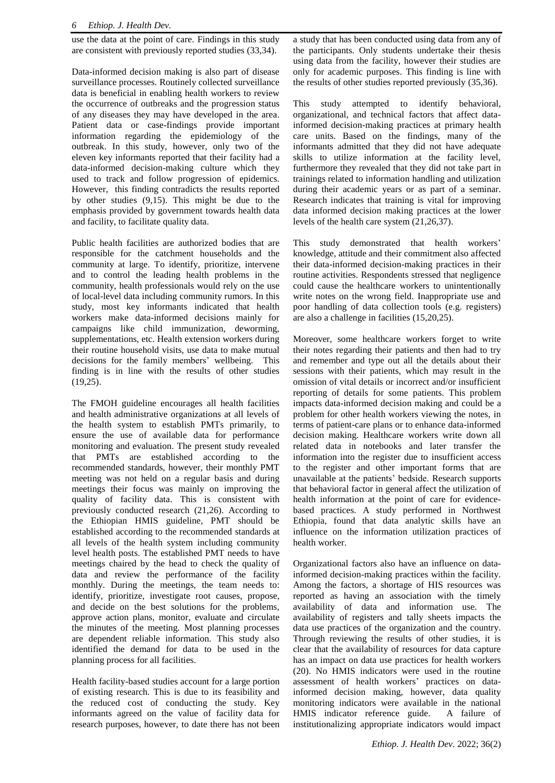use the data at the point of care. Findings in this study are consistent with previously reported studies (33,34).

Data-informed decision making is also part of disease surveillance processes. Routinely collected surveillance data is beneficial in enabling health workers to review the occurrence of outbreaks and the progression status of any diseases they may have developed in the area. Patient data or case-findings provide important information regarding the epidemiology of the outbreak. In this study, however, only two of the eleven key informants reported that their facility had a data-informed decision-making culture which they used to track and follow progression of epidemics. However, this finding contradicts the results reported by other studies (9,15). This might be due to the emphasis provided by government towards health data and facility, to facilitate quality data.

Public health facilities are authorized bodies that are responsible for the catchment households and the community at large. To identify, prioritize, intervene and to control the leading health problems in the community, health professionals would rely on the use of local-level data including community rumors. In this study, most key informants indicated that health workers make data-informed decisions mainly for campaigns like child immunization, deworming, supplementations, etc. Health extension workers during their routine household visits, use data to make mutual decisions for the family members' wellbeing. This finding is in line with the results of other studies  $(19,25)$ .

The FMOH guideline encourages all health facilities and health administrative organizations at all levels of the health system to establish PMTs primarily, to ensure the use of available data for performance monitoring and evaluation. The present study revealed that PMTs are established according to the recommended standards, however, their monthly PMT meeting was not held on a regular basis and during meetings their focus was mainly on improving the quality of facility data. This is consistent with previously conducted research (21,26). According to the Ethiopian HMIS guideline, PMT should be established according to the recommended standards at all levels of the health system including community level health posts. The established PMT needs to have meetings chaired by the head to check the quality of data and review the performance of the facility monthly. During the meetings, the team needs to: identify, prioritize, investigate root causes, propose, and decide on the best solutions for the problems, approve action plans, monitor, evaluate and circulate the minutes of the meeting. Most planning processes are dependent reliable information. This study also identified the demand for data to be used in the planning process for all facilities.

Health facility-based studies account for a large portion of existing research. This is due to its feasibility and the reduced cost of conducting the study. Key informants agreed on the value of facility data for research purposes, however, to date there has not been a study that has been conducted using data from any of the participants. Only students undertake their thesis using data from the facility, however their studies are only for academic purposes. This finding is line with the results of other studies reported previously (35,36).

This study attempted to identify behavioral, organizational, and technical factors that affect datainformed decision-making practices at primary health care units. Based on the findings, many of the informants admitted that they did not have adequate skills to utilize information at the facility level, furthermore they revealed that they did not take part in trainings related to information handling and utilization during their academic years or as part of a seminar. Research indicates that training is vital for improving data informed decision making practices at the lower levels of the health care system (21,26,37).

This study demonstrated that health workers' knowledge, attitude and their commitment also affected their data-informed decision-making practices in their routine activities. Respondents stressed that negligence could cause the healthcare workers to unintentionally write notes on the wrong field. Inappropriate use and poor handling of data collection tools (e.g. registers) are also a challenge in facilities (15,20,25).

Moreover, some healthcare workers forget to write their notes regarding their patients and then had to try and remember and type out all the details about their sessions with their patients, which may result in the omission of vital details or incorrect and/or insufficient reporting of details for some patients. This problem impacts data-informed decision making and could be a problem for other health workers viewing the notes, in terms of patient-care plans or to enhance data-informed decision making. Healthcare workers write down all related data in notebooks and later transfer the information into the register due to insufficient access to the register and other important forms that are unavailable at the patients' bedside. Research supports that behavioral factor in general affect the utilization of health information at the point of care for evidencebased practices. A study performed in Northwest Ethiopia, found that data analytic skills have an influence on the information utilization practices of health worker.

Organizational factors also have an influence on datainformed decision-making practices within the facility. Among the factors, a shortage of HIS resources was reported as having an association with the timely availability of data and information use. The availability of registers and tally sheets impacts the data use practices of the organization and the country. Through reviewing the results of other studies, it is clear that the availability of resources for data capture has an impact on data use practices for health workers (20). No HMIS indicators were used in the routine assessment of health workers' practices on datainformed decision making, however, data quality monitoring indicators were available in the national HMIS indicator reference guide. A failure of institutionalizing appropriate indicators would impact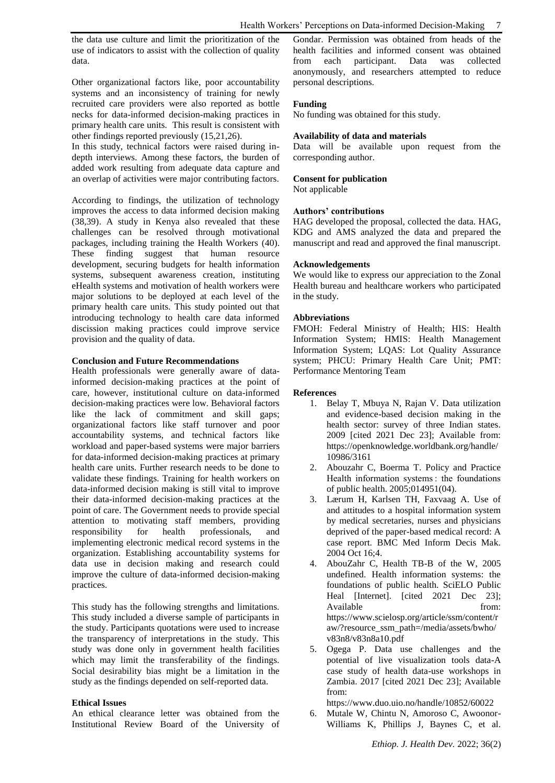the data use culture and limit the prioritization of the use of indicators to assist with the collection of quality data.

Other organizational factors like, poor accountability systems and an inconsistency of training for newly recruited care providers were also reported as bottle necks for data-informed decision-making practices in primary health care units. This result is consistent with other findings reported previously (15,21,26).

In this study, technical factors were raised during indepth interviews. Among these factors, the burden of added work resulting from adequate data capture and an overlap of activities were major contributing factors.

According to findings, the utilization of technology improves the access to data informed decision making (38,39). A study in Kenya also revealed that these challenges can be resolved through motivational packages, including training the Health Workers (40). These finding suggest that human resource development, securing budgets for health information systems, subsequent awareness creation, instituting eHealth systems and motivation of health workers were major solutions to be deployed at each level of the primary health care units. This study pointed out that introducing technology to health care data informed discission making practices could improve service provision and the quality of data.

#### **Conclusion and Future Recommendations**

Health professionals were generally aware of datainformed decision-making practices at the point of care, however, institutional culture on data-informed decision-making practices were low. Behavioral factors like the lack of commitment and skill gaps; organizational factors like staff turnover and poor accountability systems, and technical factors like workload and paper-based systems were major barriers for data-informed decision-making practices at primary health care units. Further research needs to be done to validate these findings. Training for health workers on data-informed decision making is still vital to improve their data-informed decision-making practices at the point of care. The Government needs to provide special attention to motivating staff members, providing responsibility for health professionals, and implementing electronic medical record systems in the organization. Establishing accountability systems for data use in decision making and research could improve the culture of data-informed decision-making practices.

This study has the following strengths and limitations. This study included a diverse sample of participants in the study. Participants quotations were used to increase the transparency of interpretations in the study. This study was done only in government health facilities which may limit the transferability of the findings. Social desirability bias might be a limitation in the study as the findings depended on self-reported data.

#### **Ethical Issues**

An ethical clearance letter was obtained from the Institutional Review Board of the University of Gondar. Permission was obtained from heads of the health facilities and informed consent was obtained from each participant. Data was collected anonymously, and researchers attempted to reduce personal descriptions.

## **Funding**

No funding was obtained for this study.

## **Availability of data and materials**

Data will be available upon request from the corresponding author.

## **Consent for publication**

Not applicable

#### **Authors' contributions**

HAG developed the proposal, collected the data. HAG, KDG and AMS analyzed the data and prepared the manuscript and read and approved the final manuscript.

#### **Acknowledgements**

We would like to express our appreciation to the Zonal Health bureau and healthcare workers who participated in the study.

#### **Abbreviations**

FMOH: Federal Ministry of Health; HIS: Health Information System; HMIS: Health Management Information System; LQAS: Lot Quality Assurance system; PHCU: Primary Health Care Unit; PMT: Performance Mentoring Team

#### **References**

- 1. Belay T, Mbuya N, Rajan V. Data utilization and evidence-based decision making in the health sector: survey of three Indian states. 2009 [cited 2021 Dec 23]; Available from: [https://openknowledge.worldbank.org/handle/](https://openknowledge.worldbank.org/handle/10986/3161) [10986/3161](https://openknowledge.worldbank.org/handle/10986/3161)
- 2. Abouzahr C, Boerma T. Policy and Practice Health information systems : the foundations of public health. 2005;014951(04).
- 3. Lærum H, Karlsen TH, Faxvaag A. Use of and attitudes to a hospital information system by medical secretaries, nurses and physicians deprived of the paper-based medical record: A case report. BMC Med Inform Decis Mak. 2004 Oct 16;4.
- 4. AbouZahr C, Health TB-B of the W, 2005 undefined. Health information systems: the foundations of public health. SciELO Public Heal [Internet]. [cited 2021 Dec 23]; Available from: [https://www.scielosp.org/article/ssm/content/r](https://www.scielosp.org/article/ssm/content/raw/?resource_ssm_path=/media/assets/bwho/v83n8/v83n8a10.pdf) [aw/?resource\\_ssm\\_path=/media/assets/bwho/](https://www.scielosp.org/article/ssm/content/raw/?resource_ssm_path=/media/assets/bwho/v83n8/v83n8a10.pdf) [v83n8/v83n8a10.pdf](https://www.scielosp.org/article/ssm/content/raw/?resource_ssm_path=/media/assets/bwho/v83n8/v83n8a10.pdf)
- 5. Ogega P. Data use challenges and the potential of live visualization tools data-A case study of health data-use workshops in Zambia. 2017 [cited 2021 Dec 23]; Available from:

<https://www.duo.uio.no/handle/10852/60022>

6. Mutale W, Chintu N, Amoroso C, Awoonor-Williams K, Phillips J, Baynes C, et al.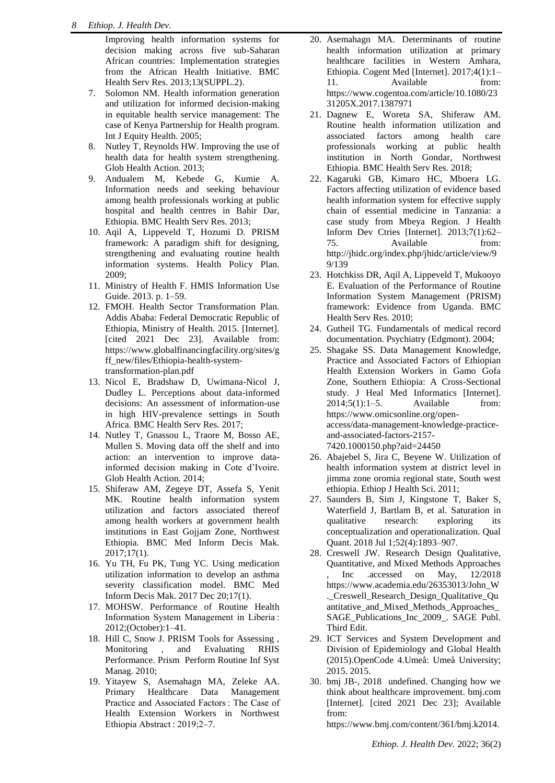Improving health information systems for decision making across five sub-Saharan African countries: Implementation strategies from the African Health Initiative. BMC Health Serv Res. 2013;13(SUPPL.2).

- 7. Solomon NM. Health information generation and utilization for informed decision-making in equitable health service management: The case of Kenya Partnership for Health program. Int J Equity Health. 2005;
- 8. Nutley T, Reynolds HW. Improving the use of health data for health system strengthening. Glob Health Action. 2013;
- 9. Andualem M, Kebede G, Kumie A. Information needs and seeking behaviour among health professionals working at public hospital and health centres in Bahir Dar, Ethiopia. BMC Health Serv Res. 2013;
- 10. Aqil A, Lippeveld T, Hozumi D. PRISM framework: A paradigm shift for designing, strengthening and evaluating routine health information systems. Health Policy Plan. 2009;
- 11. Ministry of Health F. HMIS Information Use Guide. 2013. p. 1–59.
- 12. FMOH. Health Sector Transformation Plan. Addis Ababa: Federal Democratic Republic of Ethiopia, Ministry of Health. 2015. [Internet]. [cited 2021 Dec 23]. Available from: [https://www.globalfinancingfacility.org/sites/g](https://www.globalfinancingfacility.org/sites/gff_new/files/Ethiopia-health-system-transformation-plan.pdf) [ff\\_new/files/Ethiopia-health-system](https://www.globalfinancingfacility.org/sites/gff_new/files/Ethiopia-health-system-transformation-plan.pdf)[transformation-plan.pdf](https://www.globalfinancingfacility.org/sites/gff_new/files/Ethiopia-health-system-transformation-plan.pdf)
- 13. Nicol E, Bradshaw D, Uwimana-Nicol J, Dudley L. Perceptions about data-informed decisions: An assessment of information-use in high HIV-prevalence settings in South Africa. BMC Health Serv Res. 2017;
- 14. Nutley T, Gnassou L, Traore M, Bosso AE, Mullen S. Moving data off the shelf and into action: an intervention to improve datainformed decision making in Cote d'Ivoire. Glob Health Action. 2014;
- 15. Shiferaw AM, Zegeye DT, Assefa S, Yenit MK. Routine health information system utilization and factors associated thereof among health workers at government health institutions in East Gojjam Zone, Northwest Ethiopia. BMC Med Inform Decis Mak. 2017;17(1).
- 16. Yu TH, Fu PK, Tung YC. Using medication utilization information to develop an asthma severity classification model. BMC Med Inform Decis Mak. 2017 Dec 20;17(1).
- 17. MOHSW. Performance of Routine Health Information System Management in Liberia : 2012;(October):1–41.
- 18. Hill C, Snow J. PRISM Tools for Assessing , Monitoring , and Evaluating RHIS Performance. Prism Perform Routine Inf Syst Manag. 2010;
- 19. Yitayew S, Asemahagn MA, Zeleke AA. Primary Healthcare Data Management Practice and Associated Factors : The Case of Health Extension Workers in Northwest Ethiopia Abstract : 2019;2–7.
- 20. Asemahagn MA. Determinants of routine health information utilization at primary healthcare facilities in Western Amhara, Ethiopia. Cogent Med [Internet]. 2017;4(1):1– 11. Available from: [https://www.cogentoa.com/article/10.1080/23](https://www.cogentoa.com/article/10.1080/2331205X.2017.1387971) [31205X.2017.1387971](https://www.cogentoa.com/article/10.1080/2331205X.2017.1387971)
- 21. Dagnew E, Woreta SA, Shiferaw AM. Routine health information utilization and associated factors among health care professionals working at public health institution in North Gondar, Northwest Ethiopia. BMC Health Serv Res. 2018;
- 22. Kagaruki GB, Kimaro HC, Mboera LG. Factors affecting utilization of evidence based health information system for effective supply chain of essential medicine in Tanzania: a case study from Mbeya Region. J Health Inform Dev Ctries [Internet]. 2013;7(1):62– 75. Available from: [http://jhidc.org/index.php/jhidc/article/view/9](http://jhidc.org/index.php/jhidc/article/view/99/139) [9/139](http://jhidc.org/index.php/jhidc/article/view/99/139)
- 23. Hotchkiss DR, Aqil A, Lippeveld T, Mukooyo E. Evaluation of the Performance of Routine Information System Management (PRISM) framework: Evidence from Uganda. BMC Health Serv Res. 2010;
- 24. Gutheil TG. Fundamentals of medical record documentation. Psychiatry (Edgmont). 2004;
- 25. Shagake SS. Data Management Knowledge, Practice and Associated Factors of Ethiopian Health Extension Workers in Gamo Gofa Zone, Southern Ethiopia: A Cross-Sectional study. J Heal Med Informatics [Internet]. 2014;5(1):1–5. Available from: [https://www.omicsonline.org/open](https://www.omicsonline.org/open-access/data-management-knowledge-practice-and-associated-factors-2157-7420.1000150.php?aid=24450)[access/data-management-knowledge-practice](https://www.omicsonline.org/open-access/data-management-knowledge-practice-and-associated-factors-2157-7420.1000150.php?aid=24450)[and-associated-factors-2157-](https://www.omicsonline.org/open-access/data-management-knowledge-practice-and-associated-factors-2157-7420.1000150.php?aid=24450) [7420.1000150.php?aid=24450](https://www.omicsonline.org/open-access/data-management-knowledge-practice-and-associated-factors-2157-7420.1000150.php?aid=24450)
- 26. Abajebel S, Jira C, Beyene W. Utilization of health information system at district level in jimma zone oromia regional state, South west ethiopia. Ethiop J Health Sci. 2011;
- 27. Saunders B, Sim J, Kingstone T, Baker S, Waterfield J, Bartlam B, et al. Saturation in qualitative research: exploring its conceptualization and operationalization. Qual Quant. 2018 Jul 1;52(4):1893–907.
- 28. Creswell JW. Research Design Qualitative, Quantitative, and Mixed Methods Approaches Inc .accessed on May,  $12/2018$ https://www.academia.edu/26353013/John\_W .\_Creswell\_Research\_Design\_Qualitative\_Qu antitative\_and\_Mixed\_Methods\_Approaches\_ SAGE\_Publications\_Inc\_2009\_. SAGE\_Publ. Third Edit.
- 29. ICT Services and System Development and Division of Epidemiology and Global Health (2015).OpenCode 4.Umeå: Umeå University; 2015. 2015.
- 30. bmj JB-, 2018 undefined. Changing how we think about healthcare improvement. bmj.com [Internet]. [cited 2021 Dec 23]; Available from:

[https://www.bmj.com/content/361/bmj.k2014.](https://www.bmj.com/content/361/bmj.k2014.abstract)